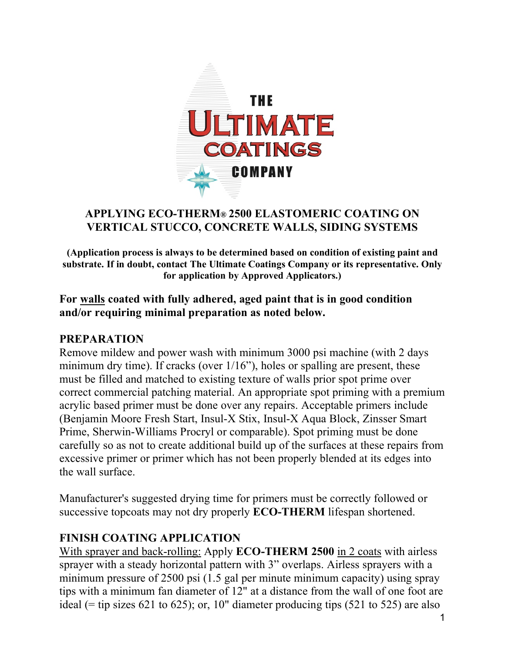

### **APPLYING ECO-THERM® 2500 ELASTOMERIC COATING ON VERTICAL STUCCO, CONCRETE WALLS, SIDING SYSTEMS**

**(Application process is always to be determined based on condition of existing paint and substrate. If in doubt, contact The Ultimate Coatings Company or its representative. Only for application by Approved Applicators.)**

### **For walls coated with fully adhered, aged paint that is in good condition and/or requiring minimal preparation as noted below.**

#### **PREPARATION**

Remove mildew and power wash with minimum 3000 psi machine (with 2 days minimum dry time). If cracks (over  $1/16$ "), holes or spalling are present, these must be filled and matched to existing texture of walls prior spot prime over correct commercial patching material. An appropriate spot priming with a premium acrylic based primer must be done over any repairs. Acceptable primers include (Benjamin Moore Fresh Start, Insul-X Stix, Insul-X Aqua Block, Zinsser Smart Prime, Sherwin-Williams Procryl or comparable). Spot priming must be done carefully so as not to create additional build up of the surfaces at these repairs from excessive primer or primer which has not been properly blended at its edges into the wall surface.

Manufacturer's suggested drying time for primers must be correctly followed or successive topcoats may not dry properly **ECO-THERM** lifespan shortened.

## **FINISH COATING APPLICATION**

With sprayer and back-rolling: Apply **ECO-THERM 2500** in 2 coats with airless sprayer with a steady horizontal pattern with 3" overlaps. Airless sprayers with a minimum pressure of 2500 psi (1.5 gal per minute minimum capacity) using spray tips with a minimum fan diameter of 12" at a distance from the wall of one foot are ideal (= tip sizes 621 to 625); or, 10" diameter producing tips  $(521 \text{ to } 525)$  are also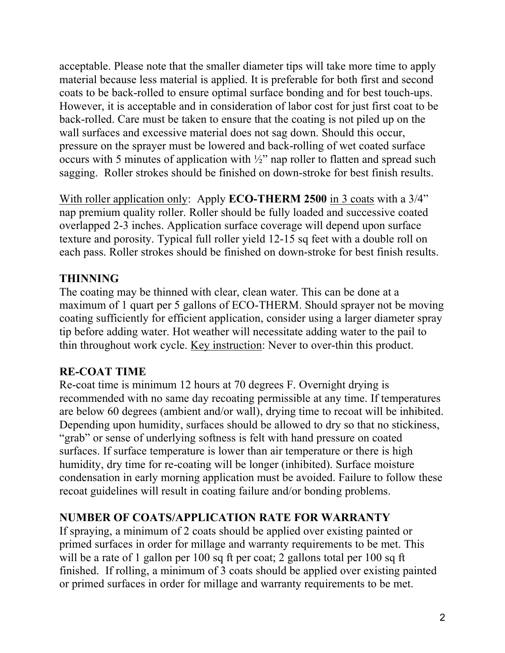acceptable. Please note that the smaller diameter tips will take more time to apply material because less material is applied. It is preferable for both first and second coats to be back-rolled to ensure optimal surface bonding and for best touch-ups. However, it is acceptable and in consideration of labor cost for just first coat to be back-rolled. Care must be taken to ensure that the coating is not piled up on the wall surfaces and excessive material does not sag down. Should this occur, pressure on the sprayer must be lowered and back-rolling of wet coated surface occurs with 5 minutes of application with  $\frac{1}{2}$ " nap roller to flatten and spread such sagging. Roller strokes should be finished on down-stroke for best finish results.

With roller application only: Apply **ECO-THERM 2500** in 3 coats with a 3/4" nap premium quality roller. Roller should be fully loaded and successive coated overlapped 2-3 inches. Application surface coverage will depend upon surface texture and porosity. Typical full roller yield 12-15 sq feet with a double roll on each pass. Roller strokes should be finished on down-stroke for best finish results.

## **THINNING**

The coating may be thinned with clear, clean water. This can be done at a maximum of 1 quart per 5 gallons of ECO-THERM. Should sprayer not be moving coating sufficiently for efficient application, consider using a larger diameter spray tip before adding water. Hot weather will necessitate adding water to the pail to thin throughout work cycle. Key instruction: Never to over-thin this product.

## **RE-COAT TIME**

Re-coat time is minimum 12 hours at 70 degrees F. Overnight drying is recommended with no same day recoating permissible at any time. If temperatures are below 60 degrees (ambient and/or wall), drying time to recoat will be inhibited. Depending upon humidity, surfaces should be allowed to dry so that no stickiness, "grab" or sense of underlying softness is felt with hand pressure on coated surfaces. If surface temperature is lower than air temperature or there is high humidity, dry time for re-coating will be longer (inhibited). Surface moisture condensation in early morning application must be avoided. Failure to follow these recoat guidelines will result in coating failure and/or bonding problems.

## **NUMBER OF COATS/APPLICATION RATE FOR WARRANTY**

If spraying, a minimum of 2 coats should be applied over existing painted or primed surfaces in order for millage and warranty requirements to be met. This will be a rate of 1 gallon per 100 sq ft per coat; 2 gallons total per 100 sq ft finished. If rolling, a minimum of 3 coats should be applied over existing painted or primed surfaces in order for millage and warranty requirements to be met.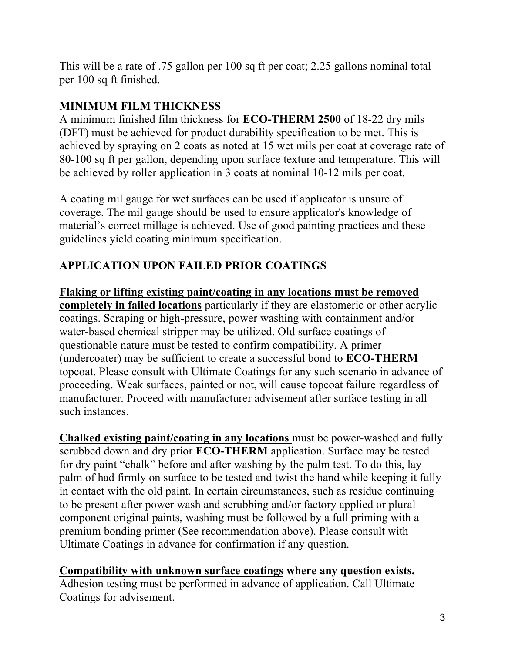This will be a rate of .75 gallon per 100 sq ft per coat; 2.25 gallons nominal total per 100 sq ft finished.

## **MINIMUM FILM THICKNESS**

A minimum finished film thickness for **ECO-THERM 2500** of 18-22 dry mils (DFT) must be achieved for product durability specification to be met. This is achieved by spraying on 2 coats as noted at 15 wet mils per coat at coverage rate of 80-100 sq ft per gallon, depending upon surface texture and temperature. This will be achieved by roller application in 3 coats at nominal 10-12 mils per coat.

A coating mil gauge for wet surfaces can be used if applicator is unsure of coverage. The mil gauge should be used to ensure applicator's knowledge of material's correct millage is achieved. Use of good painting practices and these guidelines yield coating minimum specification.

# **APPLICATION UPON FAILED PRIOR COATINGS**

**Flaking or lifting existing paint/coating in any locations must be removed completely in failed locations** particularly if they are elastomeric or other acrylic coatings. Scraping or high-pressure, power washing with containment and/or water-based chemical stripper may be utilized. Old surface coatings of questionable nature must be tested to confirm compatibility. A primer (undercoater) may be sufficient to create a successful bond to **ECO-THERM** topcoat. Please consult with Ultimate Coatings for any such scenario in advance of proceeding. Weak surfaces, painted or not, will cause topcoat failure regardless of manufacturer. Proceed with manufacturer advisement after surface testing in all such instances.

**Chalked existing paint/coating in any locations** must be power-washed and fully scrubbed down and dry prior **ECO-THERM** application. Surface may be tested for dry paint "chalk" before and after washing by the palm test. To do this, lay palm of had firmly on surface to be tested and twist the hand while keeping it fully in contact with the old paint. In certain circumstances, such as residue continuing to be present after power wash and scrubbing and/or factory applied or plural component original paints, washing must be followed by a full priming with a premium bonding primer (See recommendation above). Please consult with Ultimate Coatings in advance for confirmation if any question.

**Compatibility with unknown surface coatings where any question exists.** Adhesion testing must be performed in advance of application. Call Ultimate Coatings for advisement.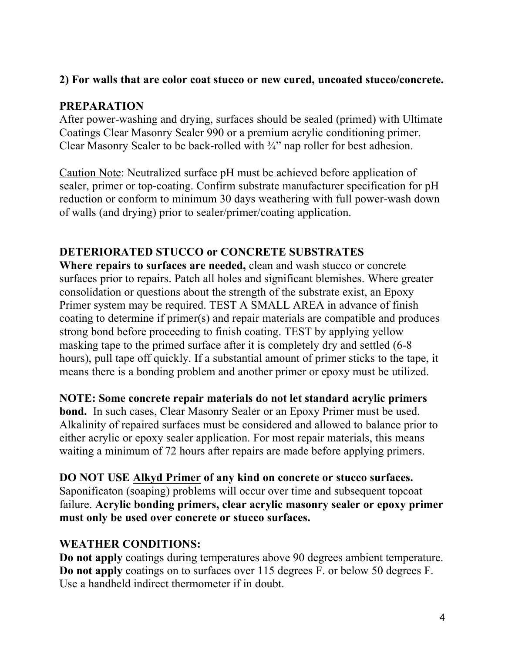### **2) For walls that are color coat stucco or new cured, uncoated stucco/concrete.**

## **PREPARATION**

After power-washing and drying, surfaces should be sealed (primed) with Ultimate Coatings Clear Masonry Sealer 990 or a premium acrylic conditioning primer. Clear Masonry Sealer to be back-rolled with ¾" nap roller for best adhesion.

Caution Note: Neutralized surface pH must be achieved before application of sealer, primer or top-coating. Confirm substrate manufacturer specification for pH reduction or conform to minimum 30 days weathering with full power-wash down of walls (and drying) prior to sealer/primer/coating application.

## **DETERIORATED STUCCO or CONCRETE SUBSTRATES**

**Where repairs to surfaces are needed,** clean and wash stucco or concrete surfaces prior to repairs. Patch all holes and significant blemishes. Where greater consolidation or questions about the strength of the substrate exist, an Epoxy Primer system may be required. TEST A SMALL AREA in advance of finish coating to determine if primer(s) and repair materials are compatible and produces strong bond before proceeding to finish coating. TEST by applying yellow masking tape to the primed surface after it is completely dry and settled (6-8 hours), pull tape off quickly. If a substantial amount of primer sticks to the tape, it means there is a bonding problem and another primer or epoxy must be utilized.

**NOTE: Some concrete repair materials do not let standard acrylic primers**

**bond.** In such cases, Clear Masonry Sealer or an Epoxy Primer must be used. Alkalinity of repaired surfaces must be considered and allowed to balance prior to either acrylic or epoxy sealer application. For most repair materials, this means waiting a minimum of 72 hours after repairs are made before applying primers.

**DO NOT USE Alkyd Primer of any kind on concrete or stucco surfaces.** Saponificaton (soaping) problems will occur over time and subsequent topcoat failure. **Acrylic bonding primers, clear acrylic masonry sealer or epoxy primer must only be used over concrete or stucco surfaces.**

## **WEATHER CONDITIONS:**

**Do not apply** coatings during temperatures above 90 degrees ambient temperature. **Do not apply** coatings on to surfaces over 115 degrees F. or below 50 degrees F. Use a handheld indirect thermometer if in doubt.